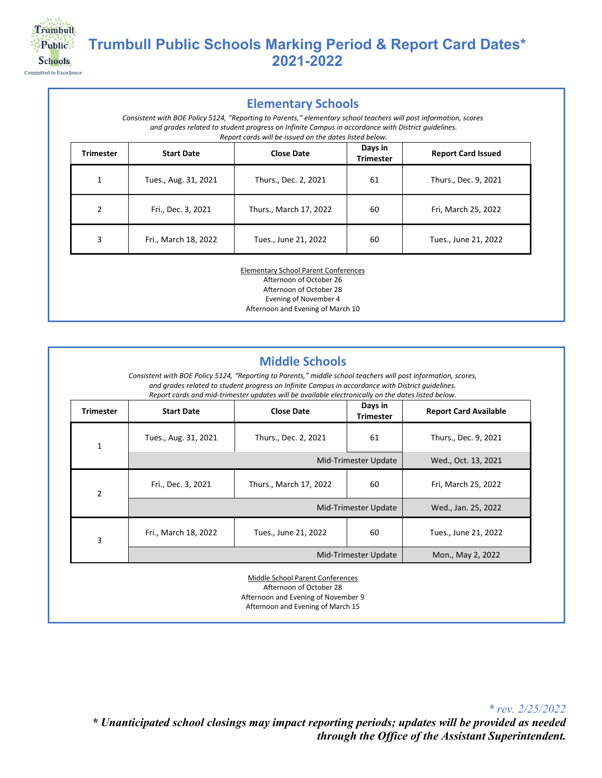

# **Trumbull Public Schools Marking Period & Report Card Dates\* 2021-2022**

#### **Elementary Schools**

*Consistent with BOE Policy 5124, "Reporting to Parents," elementary school teachers will post information, scores and grades related to student progress on Infinite Campus in accordance with District guidelines. Report cards will be issued on the dates listed below.*

| <b>Trimester</b> | <b>Start Date</b>    | <b>Close Date</b>      | Days in<br><b>Trimester</b> | <b>Report Card Issued</b> |
|------------------|----------------------|------------------------|-----------------------------|---------------------------|
| 1<br>┻           | Tues., Aug. 31, 2021 | Thurs., Dec. 2, 2021   | 61                          | Thurs., Dec. 9, 2021      |
| 2                | Fri., Dec. 3, 2021   | Thurs., March 17, 2022 | 60                          | Fri, March 25, 2022       |
| 3                | Fri., March 18, 2022 | Tues., June 21, 2022   | 60                          | Tues., June 21, 2022      |

Elementary School Parent Conferences Afternoon of October 26 Afternoon of October 28 Evening of November 4 Afternoon and Evening of March 10

| <b>Trimester</b> | <b>Start Date</b>    | <b>Close Date</b>      | Days in<br><b>Trimester</b> | <b>Report Card Available</b> |
|------------------|----------------------|------------------------|-----------------------------|------------------------------|
| 1                | Tues., Aug. 31, 2021 | Thurs., Dec. 2, 2021   | 61                          | Thurs., Dec. 9, 2021         |
|                  | Mid-Trimester Update |                        |                             | Wed., Oct. 13, 2021          |
| $\overline{2}$   | Fri., Dec. 3, 2021   | Thurs., March 17, 2022 | 60                          | Fri, March 25, 2022          |
|                  | Mid-Trimester Update |                        |                             | Wed., Jan. 25, 2022          |
| 3                | Fri., March 18, 2022 | Tues., June 21, 2022   | 60                          | Tues., June 21, 2022         |
|                  | Mid-Trimester Update |                        |                             | Mon., May 2, 2022            |

*\* rev. 2/25/2022 \* Unanticipated school closings may impact reporting periods; updates will be provided as needed through the Office of the Assistant Superintendent.*